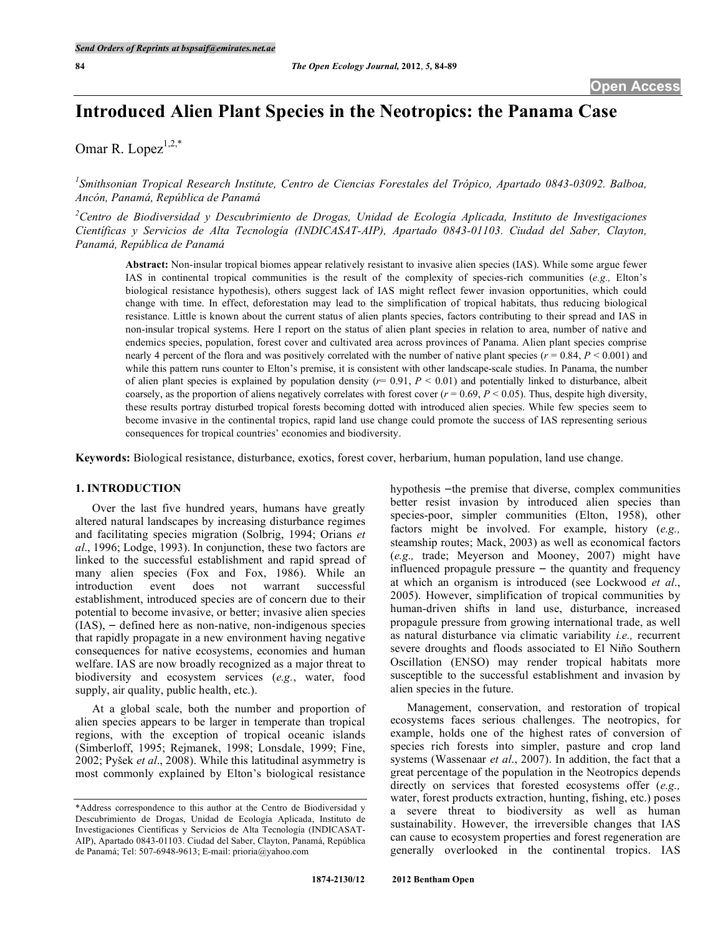# **Introduced Alien Plant Species in the Neotropics: the Panama Case**

Omar R. Lopez $1,2,*$ 

*1 Smithsonian Tropical Research Institute, Centro de Ciencias Forestales del Trópico, Apartado 0843-03092. Balboa, Ancón, Panamá, República de Panamá*

*2 Centro de Biodiversidad y Descubrimiento de Drogas, Unidad de Ecología Aplicada, Instituto de Investigaciones Científicas y Servicios de Alta Tecnología (INDICASAT-AIP), Apartado 0843-01103. Ciudad del Saber, Clayton, Panamá, República de Panamá*

**Abstract:** Non-insular tropical biomes appear relatively resistant to invasive alien species (IAS). While some argue fewer IAS in continental tropical communities is the result of the complexity of species-rich communities (*e.g.,* Elton's biological resistance hypothesis), others suggest lack of IAS might reflect fewer invasion opportunities, which could change with time. In effect, deforestation may lead to the simplification of tropical habitats, thus reducing biological resistance. Little is known about the current status of alien plants species, factors contributing to their spread and IAS in non-insular tropical systems. Here I report on the status of alien plant species in relation to area, number of native and endemics species, population, forest cover and cultivated area across provinces of Panama. Alien plant species comprise nearly 4 percent of the flora and was positively correlated with the number of native plant species ( $r = 0.84$ ,  $P < 0.001$ ) and while this pattern runs counter to Elton's premise, it is consistent with other landscape-scale studies. In Panama, the number of alien plant species is explained by population density  $(r= 0.91, P < 0.01)$  and potentially linked to disturbance, albeit coarsely, as the proportion of aliens negatively correlates with forest cover  $(r = 0.69, P < 0.05)$ . Thus, despite high diversity, these results portray disturbed tropical forests becoming dotted with introduced alien species. While few species seem to become invasive in the continental tropics, rapid land use change could promote the success of IAS representing serious consequences for tropical countries' economies and biodiversity.

**Keywords:** Biological resistance, disturbance, exotics, forest cover, herbarium, human population, land use change.

#### **1. INTRODUCTION**

Over the last five hundred years, humans have greatly altered natural landscapes by increasing disturbance regimes and facilitating species migration (Solbrig, 1994; Orians *et al*., 1996; Lodge, 1993). In conjunction, these two factors are linked to the successful establishment and rapid spread of many alien species (Fox and Fox, 1986). While an introduction event does not warrant successful establishment, introduced species are of concern due to their potential to become invasive, or better; invasive alien species  $(IAS)$ ,  $-$  defined here as non-native, non-indigenous species that rapidly propagate in a new environment having negative consequences for native ecosystems, economies and human welfare. IAS are now broadly recognized as a major threat to biodiversity and ecosystem services (*e.g.*, water, food supply, air quality, public health, etc.).

At a global scale, both the number and proportion of alien species appears to be larger in temperate than tropical regions, with the exception of tropical oceanic islands (Simberloff, 1995; Rejmanek, 1998; Lonsdale, 1999; Fine, 2002; Pyšek *et al*., 2008). While this latitudinal asymmetry is most commonly explained by Elton's biological resistance

hypothesis – the premise that diverse, complex communities better resist invasion by introduced alien species than species-poor, simpler communities (Elton, 1958), other factors might be involved. For example, history (*e.g.,* steamship routes; Mack, 2003) as well as economical factors (*e.g.,* trade; Meyerson and Mooney, 2007) might have influenced propagule pressure  $-$  the quantity and frequency at which an organism is introduced (see Lockwood *et al*., 2005). However, simplification of tropical communities by human-driven shifts in land use, disturbance, increased propagule pressure from growing international trade, as well as natural disturbance via climatic variability *i.e.,* recurrent severe droughts and floods associated to El Niño Southern Oscillation (ENSO) may render tropical habitats more susceptible to the successful establishment and invasion by alien species in the future.

Management, conservation, and restoration of tropical ecosystems faces serious challenges. The neotropics, for example, holds one of the highest rates of conversion of species rich forests into simpler, pasture and crop land systems (Wassenaar *et al*., 2007). In addition, the fact that a great percentage of the population in the Neotropics depends directly on services that forested ecosystems offer (*e.g.,* water, forest products extraction, hunting, fishing, etc.) poses a severe threat to biodiversity as well as human sustainability. However, the irreversible changes that IAS can cause to ecosystem properties and forest regeneration are generally overlooked in the continental tropics. IAS

<sup>\*</sup>Address correspondence to this author at the Centro de Biodiversidad y Descubrimiento de Drogas, Unidad de Ecología Aplicada, Instituto de Investigaciones Científicas y Servicios de Alta Tecnología (INDICASAT-AIP), Apartado 0843-01103. Ciudad del Saber, Clayton, Panamá, República de Panamá; Tel: 507-6948-9613; E-mail: prioria@yahoo.com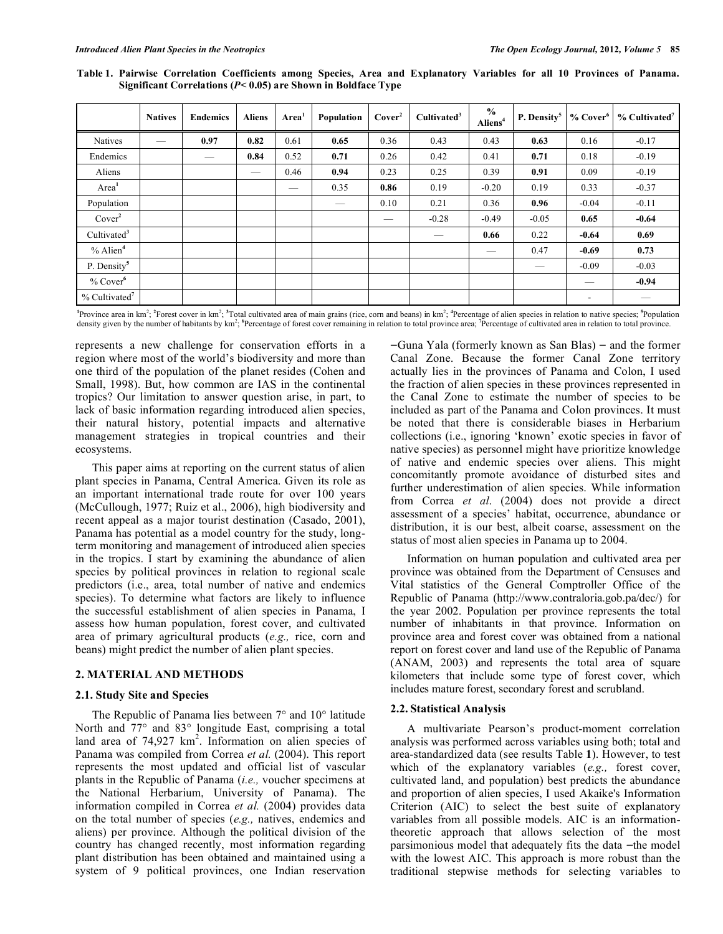|                             | <b>Natives</b> | <b>Endemics</b> | <b>Aliens</b> | Area <sup>1</sup> | Population | Cover <sup>2</sup> | Cultivated <sup>3</sup> | $\frac{0}{0}$<br>Aliens <sup>4</sup> | P. Density <sup>5</sup> | $%$ Cover <sup>6</sup>   | $%$ Cultivated <sup>7</sup> |
|-----------------------------|----------------|-----------------|---------------|-------------------|------------|--------------------|-------------------------|--------------------------------------|-------------------------|--------------------------|-----------------------------|
| <b>Natives</b>              |                | 0.97            | 0.82          | 0.61              | 0.65       | 0.36               | 0.43                    | 0.43                                 | 0.63                    | 0.16                     | $-0.17$                     |
| Endemics                    |                |                 | 0.84          | 0.52              | 0.71       | 0.26               | 0.42                    | 0.41                                 | 0.71                    | 0.18                     | $-0.19$                     |
| Aliens                      |                |                 | -             | 0.46              | 0.94       | 0.23               | 0.25                    | 0.39                                 | 0.91                    | 0.09                     | $-0.19$                     |
| Area <sup>1</sup>           |                |                 |               |                   | 0.35       | 0.86               | 0.19                    | $-0.20$                              | 0.19                    | 0.33                     | $-0.37$                     |
| Population                  |                |                 |               |                   |            | 0.10               | 0.21                    | 0.36                                 | 0.96                    | $-0.04$                  | $-0.11$                     |
| Cover <sup>2</sup>          |                |                 |               |                   |            |                    | $-0.28$                 | $-0.49$                              | $-0.05$                 | 0.65                     | $-0.64$                     |
| Cultivated <sup>3</sup>     |                |                 |               |                   |            |                    |                         | 0.66                                 | 0.22                    | $-0.64$                  | 0.69                        |
| $%$ Alien <sup>4</sup>      |                |                 |               |                   |            |                    |                         |                                      | 0.47                    | $-0.69$                  | 0.73                        |
| P. Density <sup>5</sup>     |                |                 |               |                   |            |                    |                         |                                      | –                       | $-0.09$                  | $-0.03$                     |
| $%$ Cover $6$               |                |                 |               |                   |            |                    |                         |                                      |                         | –                        | $-0.94$                     |
| $%$ Cultivated <sup>7</sup> |                |                 |               |                   |            |                    |                         |                                      |                         | $\overline{\phantom{a}}$ | --                          |

Table 1. Pairwise Correlation Coefficients among Species, Area and Explanatory Variables for all 10 Provinces of Panama. **Significant Correlations (***P<* **0.05) are Shown in Boldface Type**

<sup>1</sup>Province area in km<sup>2</sup>; <sup>2</sup>Forest cover in km<sup>2</sup>; <sup>3</sup>Total cultivated area of main grains (rice, corn and beans) in km<sup>2</sup>; <sup>4</sup>Percentage of alien species in relation to native species; <sup>5</sup>Population density given by the number of habitants by km<sup>2</sup>; <sup>6</sup>Percentage of forest cover remaining in relation to total province area; <sup>7</sup>Percentage of cultivated area in relation to total province.

represents a new challenge for conservation efforts in a region where most of the world's biodiversity and more than one third of the population of the planet resides (Cohen and Small, 1998). But, how common are IAS in the continental tropics? Our limitation to answer question arise, in part, to lack of basic information regarding introduced alien species, their natural history, potential impacts and alternative management strategies in tropical countries and their ecosystems.

This paper aims at reporting on the current status of alien plant species in Panama, Central America. Given its role as an important international trade route for over 100 years (McCullough, 1977; Ruiz et al., 2006), high biodiversity and recent appeal as a major tourist destination (Casado, 2001), Panama has potential as a model country for the study, longterm monitoring and management of introduced alien species in the tropics. I start by examining the abundance of alien species by political provinces in relation to regional scale predictors (i.e., area, total number of native and endemics species). To determine what factors are likely to influence the successful establishment of alien species in Panama, I assess how human population, forest cover, and cultivated area of primary agricultural products (*e.g.,* rice, corn and beans) might predict the number of alien plant species.

## **2. MATERIAL AND METHODS**

#### **2.1. Study Site and Species**

The Republic of Panama lies between 7° and 10° latitude North and 77° and 83° longitude East, comprising a total land area of  $74,927$  km<sup>2</sup>. Information on alien species of Panama was compiled from Correa *et al.* (2004). This report represents the most updated and official list of vascular plants in the Republic of Panama (*i.e.,* voucher specimens at the National Herbarium, University of Panama). The information compiled in Correa *et al.* (2004) provides data on the total number of species (*e.g.,* natives, endemics and aliens) per province. Although the political division of the country has changed recently, most information regarding plant distribution has been obtained and maintained using a system of 9 political provinces, one Indian reservation

 $-Guna Yala$  (formerly known as San Blas) – and the former Canal Zone. Because the former Canal Zone territory actually lies in the provinces of Panama and Colon, I used the fraction of alien species in these provinces represented in the Canal Zone to estimate the number of species to be included as part of the Panama and Colon provinces. It must be noted that there is considerable biases in Herbarium collections (i.e., ignoring 'known' exotic species in favor of native species) as personnel might have prioritize knowledge of native and endemic species over aliens. This might concomitantly promote avoidance of disturbed sites and further underestimation of alien species. While information from Correa *et al*. (2004) does not provide a direct assessment of a species' habitat, occurrence, abundance or distribution, it is our best, albeit coarse, assessment on the status of most alien species in Panama up to 2004.

Information on human population and cultivated area per province was obtained from the Department of Censuses and Vital statistics of the General Comptroller Office of the Republic of Panama (http://www.contraloria.gob.pa/dec/) for the year 2002. Population per province represents the total number of inhabitants in that province. Information on province area and forest cover was obtained from a national report on forest cover and land use of the Republic of Panama (ANAM, 2003) and represents the total area of square kilometers that include some type of forest cover, which includes mature forest, secondary forest and scrubland.

#### **2.2. Statistical Analysis**

A multivariate Pearson's product-moment correlation analysis was performed across variables using both; total and area-standardized data (see results Table **1**). However, to test which of the explanatory variables (*e.g.,* forest cover, cultivated land, and population) best predicts the abundance and proportion of alien species, I used Akaike's Information Criterion (AIC) to select the best suite of explanatory variables from all possible models. AIC is an informationtheoretic approach that allows selection of the most parsimonious model that adequately fits the data –the model with the lowest AIC. This approach is more robust than the traditional stepwise methods for selecting variables to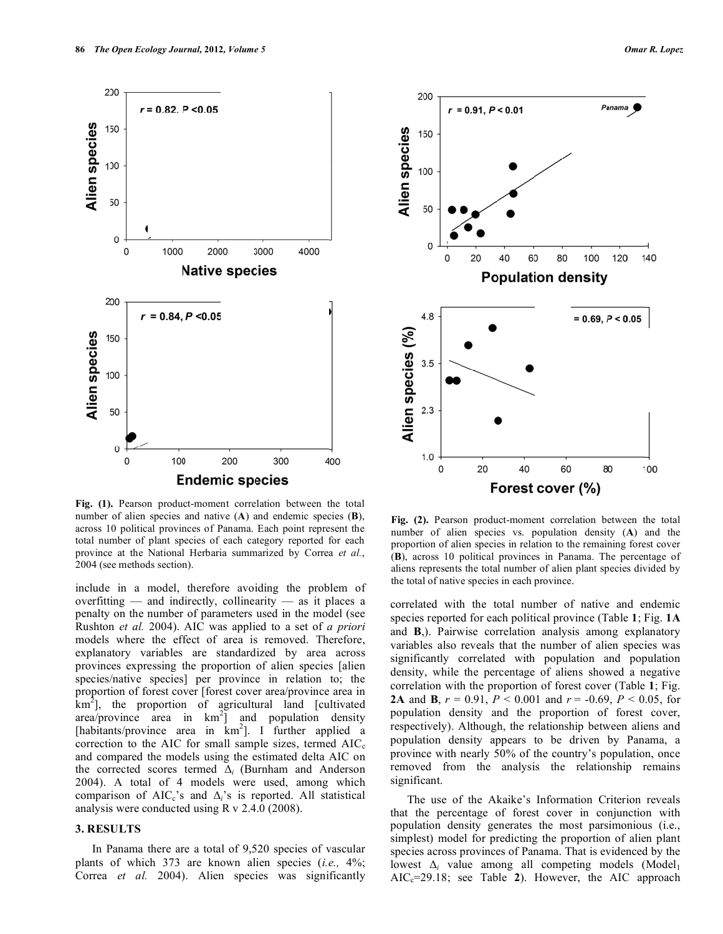

**Fig. (1).** Pearson product-moment correlation between the total number of alien species and native (**A**) and endemic species (**B**), across 10 political provinces of Panama. Each point represent the total number of plant species of each category reported for each province at the National Herbaria summarized by Correa *et al.*, 2004 (see methods section).

include in a model, therefore avoiding the problem of overfitting — and indirectly, collinearity — as it places a penalty on the number of parameters used in the model (see Rushton *et al.* 2004). AIC was applied to a set of *a priori* models where the effect of area is removed. Therefore, explanatory variables are standardized by area across provinces expressing the proportion of alien species [alien species/native species] per province in relation to; the proportion of forest cover [forest cover area/province area in  $km<sup>2</sup>$ ], the proportion of agricultural land [cultivated] area/province area in  $km^2$ ] and population density [habitants/province area in km<sup>2</sup>]. I further applied a correction to the AIC for small sample sizes, termed  $AIC_c$ and compared the models using the estimated delta AIC on the corrected scores termed Δ*i* (Burnham and Anderson 2004). A total of 4 models were used, among which comparison of AIC<sub>c</sub>'s and  $\Delta_i$ 's is reported. All statistical analysis were conducted using R v 2.4.0 (2008).

### **3. RESULTS**

In Panama there are a total of 9,520 species of vascular plants of which 373 are known alien species (*i.e.,* 4%; Correa *et al.* 2004). Alien species was significantly



**Fig. (2).** Pearson product-moment correlation between the total number of alien species vs. population density (**A**) and the proportion of alien species in relation to the remaining forest cover (**B**), across 10 political provinces in Panama. The percentage of aliens represents the total number of alien plant species divided by the total of native species in each province.

correlated with the total number of native and endemic species reported for each political province (Table **1**; Fig. **1A** and **B**,). Pairwise correlation analysis among explanatory variables also reveals that the number of alien species was significantly correlated with population and population density, while the percentage of aliens showed a negative correlation with the proportion of forest cover (Table **1**; Fig. **2A** and **B**,  $r = 0.91$ ,  $P < 0.001$  and  $r = -0.69$ ,  $P < 0.05$ , for population density and the proportion of forest cover, respectively). Although, the relationship between aliens and population density appears to be driven by Panama, a province with nearly 50% of the country's population, once removed from the analysis the relationship remains significant.

The use of the Akaike's Information Criterion reveals that the percentage of forest cover in conjunction with population density generates the most parsimonious (i.e., simplest) model for predicting the proportion of alien plant species across provinces of Panama. That is evidenced by the lowest  $\Delta_i$  value among all competing models (Model<sub>1</sub>  $AIC<sub>c</sub>=29.18$ ; see Table 2). However, the AIC approach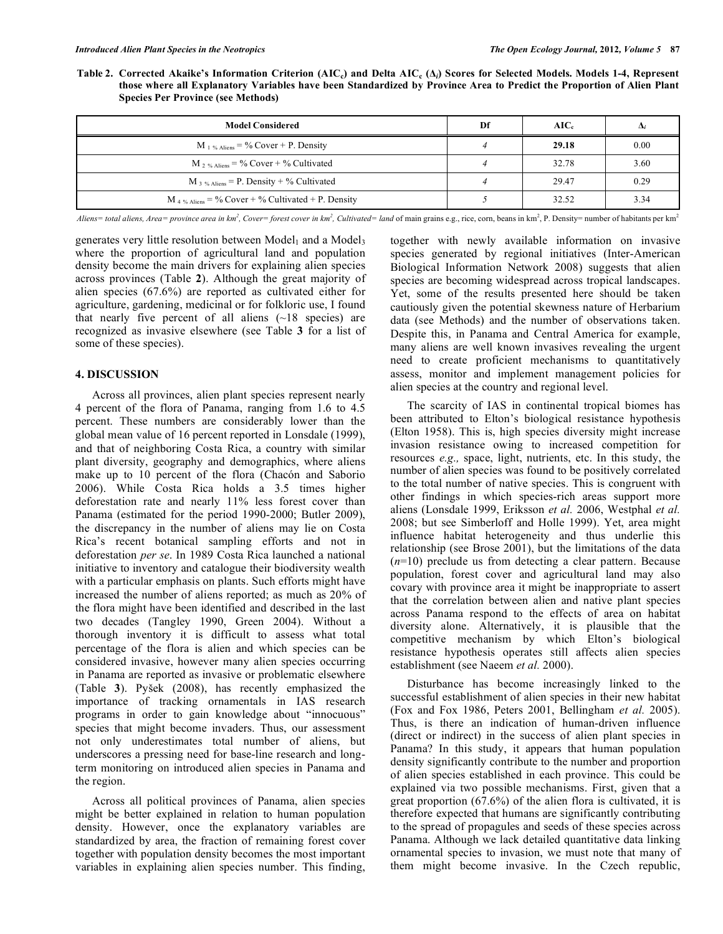Table 2. Corrected Akaike's Information Criterion (AIC<sub>c</sub>) and Delta AIC<sub>c</sub> ( $\Delta_i$ ) Scores for Selected Models. Models 1-4, Represent those where all Explanatory Variables have been Standardized by Province Area to Predict the Proportion of Alien Plant **Species Per Province (see Methods)**

| <b>Model Considered</b>                                       | Df | $AIC_{c}$ | Δ,   |
|---------------------------------------------------------------|----|-----------|------|
| $M_{\perp}$ % Aliens = % Cover + P. Density                   |    | 29.18     | 0.00 |
| $M_2 \gamma_{\text{Aliers}} = \%$ Cover + % Cultivated        |    | 32.78     | 3.60 |
| M 3 % Aliens = P. Density + % Cultivated                      |    | 29.47     | 0.29 |
| M <sub>4</sub> % Aliens = % Cover + % Cultivated + P. Density |    | 32.52     | 3.34 |

Aliens= total aliens, Area= province area in km<sup>2</sup>, Cover= forest cover in km<sup>2</sup>, Cultivated= land of main grains e.g., rice, corn, beans in km<sup>2</sup>, P. Density= number of habitants per km<sup>2</sup>

generates very little resolution between  $Model_1$  and a Model<sub>3</sub> where the proportion of agricultural land and population density become the main drivers for explaining alien species across provinces (Table **2**). Although the great majority of alien species (67.6%) are reported as cultivated either for agriculture, gardening, medicinal or for folkloric use, I found that nearly five percent of all aliens  $(\sim 18$  species) are recognized as invasive elsewhere (see Table **3** for a list of some of these species).

## **4. DISCUSSION**

Across all provinces, alien plant species represent nearly 4 percent of the flora of Panama, ranging from 1.6 to 4.5 percent. These numbers are considerably lower than the global mean value of 16 percent reported in Lonsdale (1999), and that of neighboring Costa Rica, a country with similar plant diversity, geography and demographics, where aliens make up to 10 percent of the flora (Chacón and Saborio 2006). While Costa Rica holds a 3.5 times higher deforestation rate and nearly 11% less forest cover than Panama (estimated for the period 1990-2000; Butler 2009), the discrepancy in the number of aliens may lie on Costa Rica's recent botanical sampling efforts and not in deforestation *per se*. In 1989 Costa Rica launched a national initiative to inventory and catalogue their biodiversity wealth with a particular emphasis on plants. Such efforts might have increased the number of aliens reported; as much as 20% of the flora might have been identified and described in the last two decades (Tangley 1990, Green 2004). Without a thorough inventory it is difficult to assess what total percentage of the flora is alien and which species can be considered invasive, however many alien species occurring in Panama are reported as invasive or problematic elsewhere (Table **3**). Pyšek (2008), has recently emphasized the importance of tracking ornamentals in IAS research programs in order to gain knowledge about "innocuous" species that might become invaders. Thus, our assessment not only underestimates total number of aliens, but underscores a pressing need for base-line research and longterm monitoring on introduced alien species in Panama and the region.

Across all political provinces of Panama, alien species might be better explained in relation to human population density. However, once the explanatory variables are standardized by area, the fraction of remaining forest cover together with population density becomes the most important variables in explaining alien species number. This finding,

together with newly available information on invasive species generated by regional initiatives (Inter-American Biological Information Network 2008) suggests that alien species are becoming widespread across tropical landscapes. Yet, some of the results presented here should be taken cautiously given the potential skewness nature of Herbarium data (see Methods) and the number of observations taken. Despite this, in Panama and Central America for example, many aliens are well known invasives revealing the urgent need to create proficient mechanisms to quantitatively assess, monitor and implement management policies for alien species at the country and regional level.

The scarcity of IAS in continental tropical biomes has been attributed to Elton's biological resistance hypothesis (Elton 1958). This is, high species diversity might increase invasion resistance owing to increased competition for resources *e.g.,* space, light, nutrients, etc. In this study, the number of alien species was found to be positively correlated to the total number of native species. This is congruent with other findings in which species-rich areas support more aliens (Lonsdale 1999, Eriksson *et al.* 2006, Westphal *et al.* 2008; but see Simberloff and Holle 1999). Yet, area might influence habitat heterogeneity and thus underlie this relationship (see Brose 2001), but the limitations of the data (*n*=10) preclude us from detecting a clear pattern. Because population, forest cover and agricultural land may also covary with province area it might be inappropriate to assert that the correlation between alien and native plant species across Panama respond to the effects of area on habitat diversity alone. Alternatively, it is plausible that the competitive mechanism by which Elton's biological resistance hypothesis operates still affects alien species establishment (see Naeem *et al.* 2000).

Disturbance has become increasingly linked to the successful establishment of alien species in their new habitat (Fox and Fox 1986, Peters 2001, Bellingham *et al.* 2005). Thus, is there an indication of human-driven influence (direct or indirect) in the success of alien plant species in Panama? In this study, it appears that human population density significantly contribute to the number and proportion of alien species established in each province. This could be explained via two possible mechanisms. First, given that a great proportion (67.6%) of the alien flora is cultivated, it is therefore expected that humans are significantly contributing to the spread of propagules and seeds of these species across Panama. Although we lack detailed quantitative data linking ornamental species to invasion, we must note that many of them might become invasive. In the Czech republic,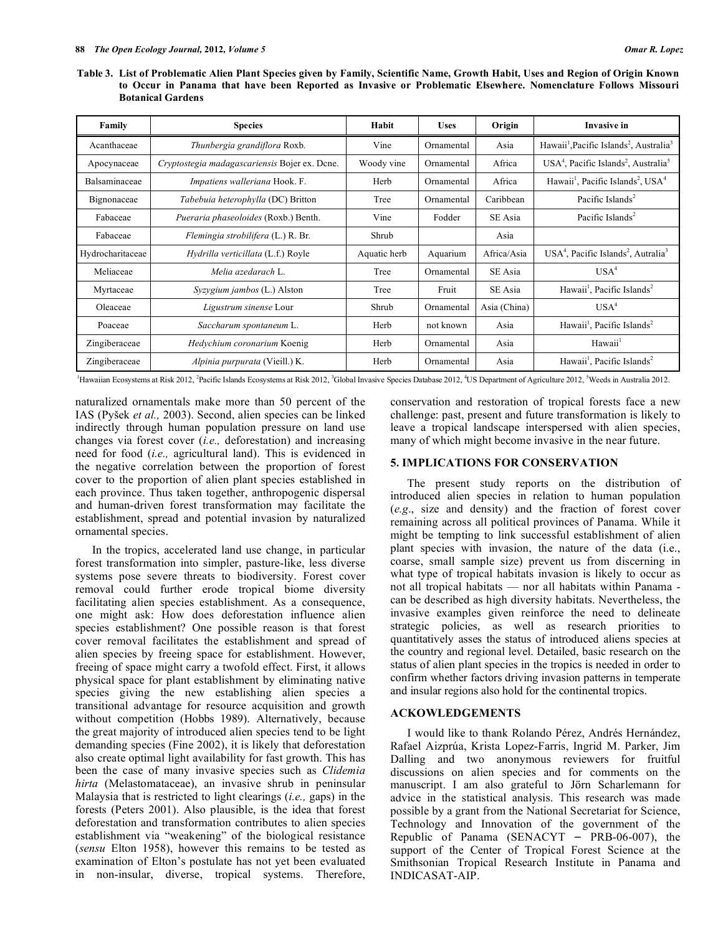Table 3. List of Problematic Alien Plant Species given by Family, Scientific Name, Growth Habit, Uses and Region of Origin Known **to Occur in Panama that have been Reported as Invasive or Problematic Elsewhere. Nomenclature Follows Missouri Botanical Gardens**

| Family           | <b>Species</b>                                | Habit        | <b>Uses</b> | Origin       | <b>Invasive in</b>                                                          |
|------------------|-----------------------------------------------|--------------|-------------|--------------|-----------------------------------------------------------------------------|
| Acanthaceae      | Thunbergia grandiflora Roxb.                  | Vine         | Ornamental  | Asia         | Hawaii <sup>1</sup> , Pacific Islands <sup>2</sup> , Australia <sup>3</sup> |
| Apocynaceae      | Cryptostegia madagascariensis Bojer ex. Dcne. | Woody vine   | Ornamental  | Africa       | $USA4$ , Pacific Islands <sup>2</sup> , Australia <sup>5</sup>              |
| Balsaminaceae    | Impatiens walleriana Hook. F.                 | Herb         | Ornamental  | Africa       | Hawaii <sup>1</sup> , Pacific Islands <sup>2</sup> , USA <sup>4</sup>       |
| Bignonaceae      | Tabebuia heterophylla (DC) Britton            | Tree         | Ornamental  | Caribbean    | Pacific Islands <sup>2</sup>                                                |
| Fabaceae         | Pueraria phaseoloides (Roxb.) Benth.          | Vine         | Fodder      | SE Asia      | Pacific Islands <sup>2</sup>                                                |
| Fabaceae         | Flemingia strobilifera (L.) R. Br.            | Shrub        |             | Asia         |                                                                             |
| Hydrocharitaceae | Hydrilla verticillata (L.f.) Royle            | Aquatic herb | Aquarium    | Africa/Asia  | $USA4$ , Pacific Islands <sup>2</sup> , Autralia <sup>3</sup>               |
| Meliaceae        | Melia azedarach L.                            | Tree         | Ornamental  | SE Asia      | USA <sup>4</sup>                                                            |
| Myrtaceae        | $Syzyzium jambos$ (L.) Alston                 | Tree         | Fruit       | SE Asia      | Hawaii <sup>1</sup> , Pacific Islands <sup>2</sup>                          |
| Oleaceae         | Ligustrum sinense Lour                        | Shrub        | Ornamental  | Asia (China) | USA <sup>4</sup>                                                            |
| Poaceae          | Saccharum spontaneum L.                       | Herb         | not known   | Asia         | Hawaii <sup>1</sup> , Pacific Islands <sup>2</sup>                          |
| Zingiberaceae    | Hedychium coronarium Koenig                   | Herb         | Ornamental  | Asia         | Hawaii <sup>1</sup>                                                         |
| Zingiberaceae    | Alpinia purpurata (Vieill.) K.                | Herb         | Ornamental  | Asia         | Hawaii <sup>1</sup> , Pacific Islands <sup>2</sup>                          |

<sup>1</sup>Hawaiian Ecosystems at Risk 2012, <sup>2</sup>Pacific Islands Ecosystems at Risk 2012, <sup>3</sup>Global Invasive Species Database 2012, <sup>4</sup>US Department of Agriculture 2012, <sup>5</sup>Weeds in Australia 2012.

naturalized ornamentals make more than 50 percent of the IAS (Pyšek *et al.,* 2003). Second, alien species can be linked indirectly through human population pressure on land use changes via forest cover (*i.e.,* deforestation) and increasing need for food (*i.e.,* agricultural land). This is evidenced in the negative correlation between the proportion of forest cover to the proportion of alien plant species established in each province. Thus taken together, anthropogenic dispersal and human-driven forest transformation may facilitate the establishment, spread and potential invasion by naturalized ornamental species.

In the tropics, accelerated land use change, in particular forest transformation into simpler, pasture-like, less diverse systems pose severe threats to biodiversity. Forest cover removal could further erode tropical biome diversity facilitating alien species establishment. As a consequence, one might ask: How does deforestation influence alien species establishment? One possible reason is that forest cover removal facilitates the establishment and spread of alien species by freeing space for establishment. However, freeing of space might carry a twofold effect. First, it allows physical space for plant establishment by eliminating native species giving the new establishing alien species a transitional advantage for resource acquisition and growth without competition (Hobbs 1989). Alternatively, because the great majority of introduced alien species tend to be light demanding species (Fine 2002), it is likely that deforestation also create optimal light availability for fast growth. This has been the case of many invasive species such as *Clidemia hirta* (Melastomataceae), an invasive shrub in peninsular Malaysia that is restricted to light clearings (*i.e.,* gaps) in the forests (Peters 2001). Also plausible, is the idea that forest deforestation and transformation contributes to alien species establishment via "weakening" of the biological resistance (*sensu* Elton 1958), however this remains to be tested as examination of Elton's postulate has not yet been evaluated in non-insular, diverse, tropical systems. Therefore,

conservation and restoration of tropical forests face a new challenge: past, present and future transformation is likely to leave a tropical landscape interspersed with alien species, many of which might become invasive in the near future.

### **5. IMPLICATIONS FOR CONSERVATION**

The present study reports on the distribution of introduced alien species in relation to human population (*e.g*., size and density) and the fraction of forest cover remaining across all political provinces of Panama. While it might be tempting to link successful establishment of alien plant species with invasion, the nature of the data (i.e., coarse, small sample size) prevent us from discerning in what type of tropical habitats invasion is likely to occur as not all tropical habitats — nor all habitats within Panama can be described as high diversity habitats. Nevertheless, the invasive examples given reinforce the need to delineate strategic policies, as well as research priorities to quantitatively asses the status of introduced aliens species at the country and regional level. Detailed, basic research on the status of alien plant species in the tropics is needed in order to confirm whether factors driving invasion patterns in temperate and insular regions also hold for the continental tropics.

## **ACKOWLEDGEMENTS**

I would like to thank Rolando Pérez, Andrés Hernández, Rafael Aizprúa, Krista Lopez-Farris, Ingrid M. Parker, Jim Dalling and two anonymous reviewers for fruitful discussions on alien species and for comments on the manuscript. I am also grateful to Jörn Scharlemann for advice in the statistical analysis. This research was made possible by a grant from the National Secretariat for Science, Technology and Innovation of the government of the Republic of Panama (SENACYT  $-$  PRB-06-007), the support of the Center of Tropical Forest Science at the Smithsonian Tropical Research Institute in Panama and INDICASAT-AIP.